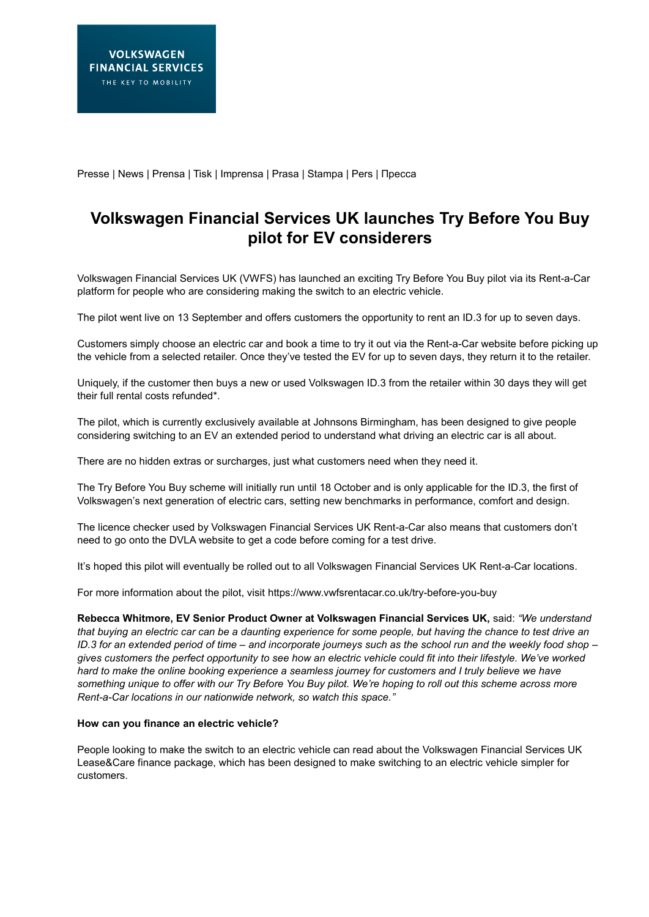Presse | News | Prensa | Tisk | Imprensa | Prasa | Stampa | Pers | Пресса

# **Volkswagen Financial Services UK launches Try Before You Buy pilot for EV considerers**

Volkswagen Financial Services UK (VWFS) has launched an exciting Try Before You Buy pilot via its Rent-a-Car platform for people who are considering making the switch to an electric vehicle.

The pilot went live on 13 September and offers customers the opportunity to rent an ID.3 for up to seven days.

Customers simply choose an electric car and book a time to try it out via the Rent-a-Car website before picking up the vehicle from a selected retailer. Once they've tested the EV for up to seven days, they return it to the retailer.

Uniquely, if the customer then buys a new or used Volkswagen ID.3 from the retailer within 30 days they will get their full rental costs refunded\*.

The pilot, which is currently exclusively available at Johnsons Birmingham, has been designed to give people considering switching to an EV an extended period to understand what driving an electric car is all about.

There are no hidden extras or surcharges, just what customers need when they need it.

The Try Before You Buy scheme will initially run until 18 October and is only applicable for the ID.3, the first of Volkswagen's next generation of electric cars, setting new benchmarks in performance, comfort and design.

The licence checker used by Volkswagen Financial Services UK Rent-a-Car also means that customers don't need to go onto the DVLA website to get a code before coming for a test drive.

It's hoped this pilot will eventually be rolled out to all Volkswagen Financial Services UK Rent-a-Car locations.

For more information about the pilot, visit https://www.vwfsrentacar.co.uk/try-before-you-buy

**Rebecca Whitmore, EV Senior Product Owner at Volkswagen Financial Services UK,** said: *"We understand that buying an electric car can be a daunting experience for some people, but having the chance to test drive an ID.3 for an extended period of time – and incorporate journeys such as the school run and the weekly food shop – gives customers the perfect opportunity to see how an electric vehicle could fit into their lifestyle. We've worked hard to make the online booking experience a seamless journey for customers and I truly believe we have something unique to offer with our Try Before You Buy pilot. We're hoping to roll out this scheme across more Rent-a-Car locations in our nationwide network, so watch this space."*

### **How can you finance an electric vehicle?**

People looking to make the switch to an electric vehicle can read about the Volkswagen Financial Services UK Lease&Care finance package, which has been designed to make switching to an electric vehicle simpler for customers.